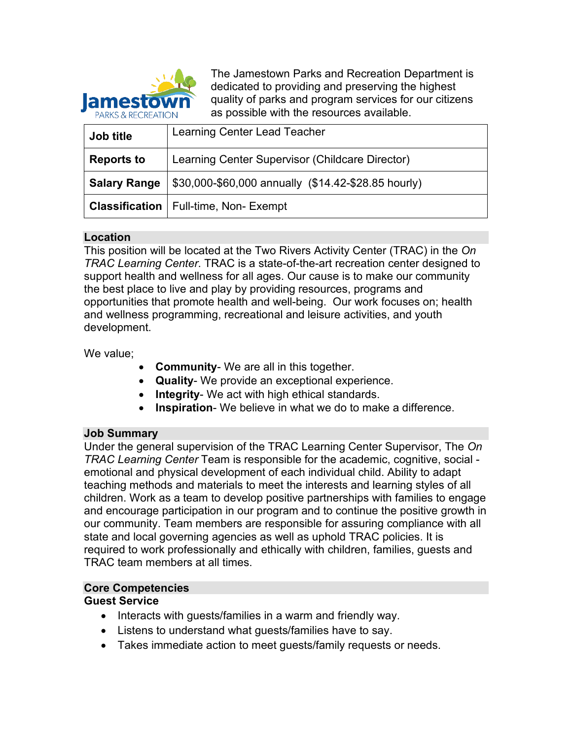

The Jamestown Parks and Recreation Department is dedicated to providing and preserving the highest quality of parks and program services for our citizens as possible with the resources available.

| Job title           | Learning Center Lead Teacher                        |
|---------------------|-----------------------------------------------------|
| <b>Reports to</b>   | Learning Center Supervisor (Childcare Director)     |
| <b>Salary Range</b> | \$30,000-\$60,000 annually (\$14.42-\$28.85 hourly) |
|                     | <b>Classification</b>   Full-time, Non- Exempt      |

### **Location**

This position will be located at the Two Rivers Activity Center (TRAC) in the *On TRAC Learning Center*. TRAC is a state-of-the-art recreation center designed to support health and wellness for all ages. Our cause is to make our community the best place to live and play by providing resources, programs and opportunities that promote health and well-being. Our work focuses on; health and wellness programming, recreational and leisure activities, and youth development.

We value;

- **Community-** We are all in this together.
- **Quality** We provide an exceptional experience.
- **Integrity** We act with high ethical standards.
- **Inspiration** We believe in what we do to make a difference.

#### **Job Summary**

Under the general supervision of the TRAC Learning Center Supervisor, The *On TRAC Learning Center* Team is responsible for the academic, cognitive, social emotional and physical development of each individual child. Ability to adapt teaching methods and materials to meet the interests and learning styles of all children. Work as a team to develop positive partnerships with families to engage and encourage participation in our program and to continue the positive growth in our community. Team members are responsible for assuring compliance with all state and local governing agencies as well as uphold TRAC policies. It is required to work professionally and ethically with children, families, guests and TRAC team members at all times.

#### **Core Competencies**

#### **Guest Service**

- Interacts with guests/families in a warm and friendly way.
- Listens to understand what guests/families have to say.
- Takes immediate action to meet guests/family requests or needs.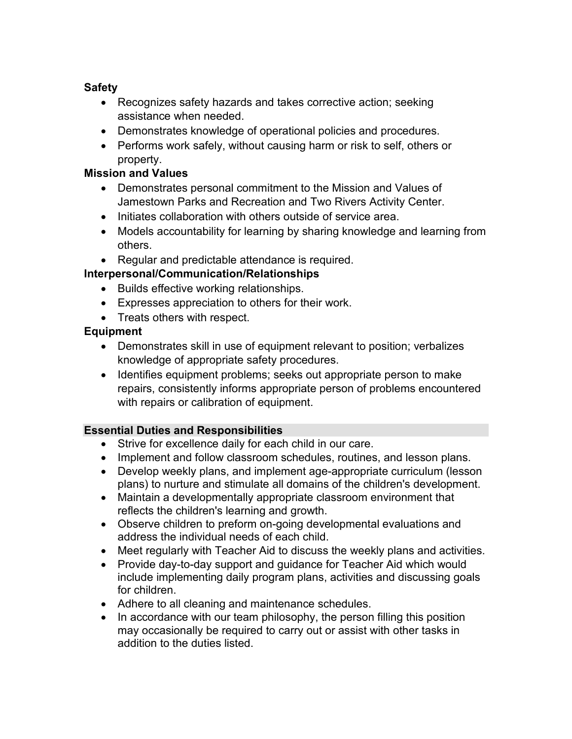# **Safety**

- Recognizes safety hazards and takes corrective action; seeking assistance when needed.
- Demonstrates knowledge of operational policies and procedures.
- Performs work safely, without causing harm or risk to self, others or property.

## **Mission and Values**

- Demonstrates personal commitment to the Mission and Values of Jamestown Parks and Recreation and Two Rivers Activity Center.
- Initiates collaboration with others outside of service area.
- Models accountability for learning by sharing knowledge and learning from others.
- Regular and predictable attendance is required.

# **Interpersonal/Communication/Relationships**

- Builds effective working relationships.
- Expresses appreciation to others for their work.
- Treats others with respect.

# **Equipment**

- Demonstrates skill in use of equipment relevant to position; verbalizes knowledge of appropriate safety procedures.
- Identifies equipment problems; seeks out appropriate person to make repairs, consistently informs appropriate person of problems encountered with repairs or calibration of equipment.

## **Essential Duties and Responsibilities**

- Strive for excellence daily for each child in our care.
- Implement and follow classroom schedules, routines, and lesson plans.
- Develop weekly plans, and implement age-appropriate curriculum (lesson plans) to nurture and stimulate all domains of the children's development.
- Maintain a developmentally appropriate classroom environment that reflects the children's learning and growth.
- Observe children to preform on-going developmental evaluations and address the individual needs of each child.
- Meet regularly with Teacher Aid to discuss the weekly plans and activities.
- Provide day-to-day support and guidance for Teacher Aid which would include implementing daily program plans, activities and discussing goals for children.
- Adhere to all cleaning and maintenance schedules.
- In accordance with our team philosophy, the person filling this position may occasionally be required to carry out or assist with other tasks in addition to the duties listed.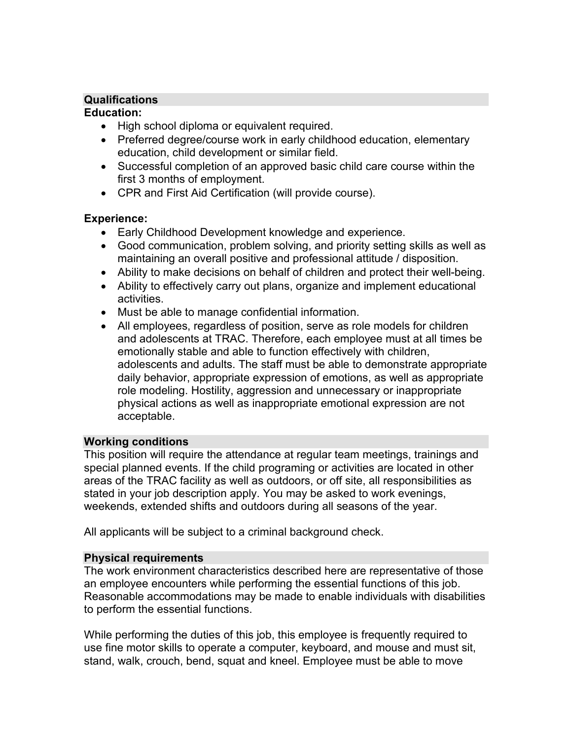## **Qualifications**

#### **Education:**

- High school diploma or equivalent required.
- Preferred degree/course work in early childhood education, elementary education, child development or similar field.
- Successful completion of an approved basic child care course within the first 3 months of employment.
- CPR and First Aid Certification (will provide course).

### **Experience:**

- Early Childhood Development knowledge and experience.
- Good communication, problem solving, and priority setting skills as well as maintaining an overall positive and professional attitude / disposition.
- Ability to make decisions on behalf of children and protect their well-being.
- Ability to effectively carry out plans, organize and implement educational activities.
- Must be able to manage confidential information.
- All employees, regardless of position, serve as role models for children and adolescents at TRAC. Therefore, each employee must at all times be emotionally stable and able to function effectively with children, adolescents and adults. The staff must be able to demonstrate appropriate daily behavior, appropriate expression of emotions, as well as appropriate role modeling. Hostility, aggression and unnecessary or inappropriate physical actions as well as inappropriate emotional expression are not acceptable.

## **Working conditions**

This position will require the attendance at regular team meetings, trainings and special planned events. If the child programing or activities are located in other areas of the TRAC facility as well as outdoors, or off site, all responsibilities as stated in your job description apply. You may be asked to work evenings, weekends, extended shifts and outdoors during all seasons of the year.

All applicants will be subject to a criminal background check.

#### **Physical requirements**

The work environment characteristics described here are representative of those an employee encounters while performing the essential functions of this job. Reasonable accommodations may be made to enable individuals with disabilities to perform the essential functions.

While performing the duties of this job, this employee is frequently required to use fine motor skills to operate a computer, keyboard, and mouse and must sit, stand, walk, crouch, bend, squat and kneel. Employee must be able to move